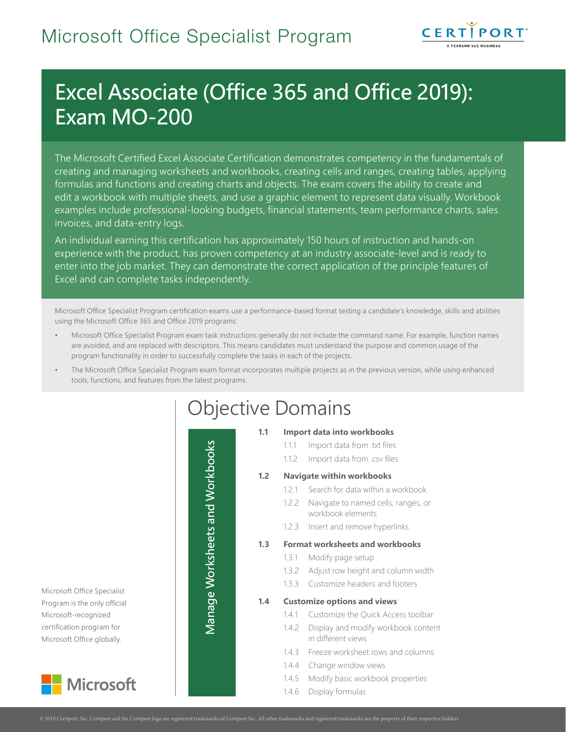

# Excel Associate (Office 365 and Office 2019): Exam MO-200

The Microsoft Certified Excel Associate Certification demonstrates competency in the fundamentals of creating and managing worksheets and workbooks, creating cells and ranges, creating tables, applying formulas and functions and creating charts and objects. The exam covers the ability to create and edit a workbook with multiple sheets, and use a graphic element to represent data visually. Workbook examples include professional-looking budgets, financial statements, team performance charts, sales invoices, and data-entry logs.

An individual earning this certification has approximately 150 hours of instruction and hands-on experience with the product, has proven competency at an industry associate-level and is ready to enter into the job market. They can demonstrate the correct application of the principle features of Excel and can complete tasks independently.

Microsoft Office Specialist Program certification exams use a performance-based format testing a candidate's knowledge, skills and abilities using the Microsoft Office 365 and Office 2019 programs:

- Microsoft Office Specialist Program exam task instructions generally do not include the command name. For example, function names are avoided, and are replaced with descriptors. This means candidates must understand the purpose and common usage of the program functionality in order to successfully complete the tasks in each of the projects.
- The Microsoft Office Specialist Program exam format incorporates multiple projects as in the previous version, while using enhanced tools, functions, and features from the latest programs.

Microsoft Office Specialist Program is the only official Microsoft-recognized certification program for Microsoft Office globally.



| <b>Objective Domains</b> |  |
|--------------------------|--|
|--------------------------|--|

### **1.1 Import data into workbooks**

- 1.1.1 Import data from .txt files
- 1.1.2 Import data from .csv files

### **1.2 Navigate within workbooks**

- 1.2.1 Search for data within a workbook
- 1.2.2 Navigate to named cells, ranges, or workbook elements
- 1.2.3 Insert and remove hyperlinks

### **1.3 Format worksheets and workbooks**

- 1.3.1 Modify page setup
- 1.3.2 Adjust row height and column width
- 1.3.3 Customize headers and footers

**1.4 Customize options and views**

Manage Worksheets and Workbooks

Manage Worksheets and Workbooks

- 1.4.1 Customize the Quick Access toolbar
- 1.4.2 Display and modify workbook content in different views
- 1.4.3 Freeze worksheet rows and columns
- 1.4.4 Change window views
- 1.4.5 Modify basic workbook properties
- 1.4.6 Display formulas